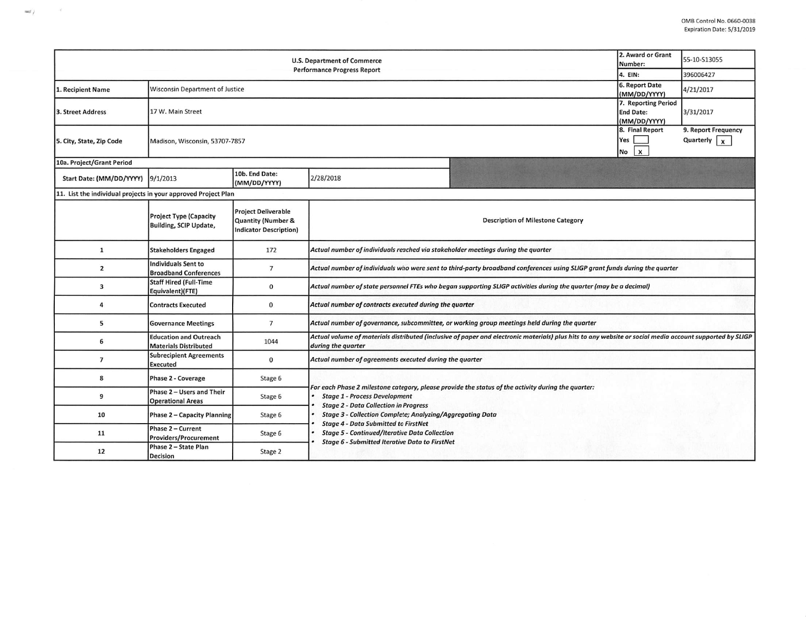| <b>U.S. Department of Commerce</b><br><b>Performance Progress Report</b> |                                                               |                                                                            |                                                                                                                                                                                                                                                                                                                                                                                                                                |  | 55-10-S13055 |  |  |  |  |
|--------------------------------------------------------------------------|---------------------------------------------------------------|----------------------------------------------------------------------------|--------------------------------------------------------------------------------------------------------------------------------------------------------------------------------------------------------------------------------------------------------------------------------------------------------------------------------------------------------------------------------------------------------------------------------|--|--------------|--|--|--|--|
|                                                                          | 4. EIN:                                                       | 396006427                                                                  |                                                                                                                                                                                                                                                                                                                                                                                                                                |  |              |  |  |  |  |
| 1. Recipient Name                                                        | Wisconsin Department of Justice                               | 6. Report Date<br>(MM/DD/YYYY)                                             | 4/21/2017                                                                                                                                                                                                                                                                                                                                                                                                                      |  |              |  |  |  |  |
| 3. Street Address                                                        | 17 W. Main Street                                             | 7. Reporting Period<br><b>End Date:</b><br>(MM/DD/YYYY)                    | 3/31/2017                                                                                                                                                                                                                                                                                                                                                                                                                      |  |              |  |  |  |  |
| 5. City, State, Zip Code                                                 | Madison, Wisconsin, 53707-7857                                | 8. Final Report<br><b>Yes</b><br>$No$ $x$                                  | 9. Report Frequency<br>Quarterly $\vert x \vert$                                                                                                                                                                                                                                                                                                                                                                               |  |              |  |  |  |  |
| 10a. Project/Grant Period                                                |                                                               |                                                                            |                                                                                                                                                                                                                                                                                                                                                                                                                                |  |              |  |  |  |  |
| Start Date: (MM/DD/YYYY) 9/1/2013                                        |                                                               | 10b. End Date:<br>(MM/DD/YYYY)                                             | 2/28/2018                                                                                                                                                                                                                                                                                                                                                                                                                      |  |              |  |  |  |  |
| 11. List the individual projects in your approved Project Plan           |                                                               |                                                                            |                                                                                                                                                                                                                                                                                                                                                                                                                                |  |              |  |  |  |  |
|                                                                          | <b>Project Type (Capacity</b><br>Building, SCIP Update,       | <b>Project Deliverable</b><br>Quantity (Number &<br>Indicator Description) | <b>Description of Milestone Category</b>                                                                                                                                                                                                                                                                                                                                                                                       |  |              |  |  |  |  |
| 1                                                                        | <b>Stakeholders Engaged</b>                                   | 172                                                                        | Actual number of individuals reached via stakeholder meetings during the quarter                                                                                                                                                                                                                                                                                                                                               |  |              |  |  |  |  |
| $\overline{2}$                                                           | <b>Individuals Sent to</b><br><b>Broadband Conferences</b>    | $7\overline{ }$                                                            | Actual number of individuals who were sent to third-party broadband conferences using SLIGP grant funds during the quarter                                                                                                                                                                                                                                                                                                     |  |              |  |  |  |  |
| 3                                                                        | <b>Staff Hired (Full-Time</b><br>Equivalent)(FTE)             | $\mathbf 0$                                                                | Actual number of state personnel FTEs who began supporting SLIGP activities during the quarter (may be a decimal)                                                                                                                                                                                                                                                                                                              |  |              |  |  |  |  |
| 4                                                                        | <b>Contracts Executed</b>                                     | $\bf{0}$                                                                   | Actual number of contracts executed during the quarter                                                                                                                                                                                                                                                                                                                                                                         |  |              |  |  |  |  |
| 5                                                                        | <b>Governance Meetings</b>                                    | $7\overline{ }$                                                            | Actual number of governance, subcommittee, or working group meetings held during the quarter                                                                                                                                                                                                                                                                                                                                   |  |              |  |  |  |  |
| 6                                                                        | <b>Education and Outreach</b><br><b>Materials Distributed</b> | 1044                                                                       | Actual volume of materials distributed (inclusive of paper and electronic materials) plus hits to any website or social media account supported by SLIGP<br>during the quarter                                                                                                                                                                                                                                                 |  |              |  |  |  |  |
| $\overline{7}$                                                           | <b>Subrecipient Agreements</b><br><b>Executed</b>             | $\mathbf{0}$                                                               | Actual number of agreements executed during the quarter                                                                                                                                                                                                                                                                                                                                                                        |  |              |  |  |  |  |
| 8                                                                        | Phase 2 - Coverage                                            | Stage 6                                                                    |                                                                                                                                                                                                                                                                                                                                                                                                                                |  |              |  |  |  |  |
| 9                                                                        | Phase 2 - Users and Their<br><b>Operational Areas</b>         | Stage 6                                                                    | For each Phase 2 milestone category, please provide the status of the activity during the quarter:<br><b>Stage 1 - Process Development</b><br><b>Stage 2 - Data Collection in Progress</b><br><b>Stage 3 - Collection Complete; Analyzing/Aggregating Data</b><br><b>Stage 4 - Data Submitted to FirstNet</b><br><b>Stage 5 - Continued/Iterative Data Collection</b><br><b>Stage 6 - Submitted Iterative Data to FirstNet</b> |  |              |  |  |  |  |
| 10                                                                       | <b>Phase 2 - Capacity Planning</b>                            | Stage 6                                                                    |                                                                                                                                                                                                                                                                                                                                                                                                                                |  |              |  |  |  |  |
| 11                                                                       | Phase 2 - Current<br><b>Providers/Procurement</b>             | Stage 6                                                                    |                                                                                                                                                                                                                                                                                                                                                                                                                                |  |              |  |  |  |  |
| 12                                                                       | Phase 2 - State Plan<br><b>Decision</b>                       | Stage 2                                                                    |                                                                                                                                                                                                                                                                                                                                                                                                                                |  |              |  |  |  |  |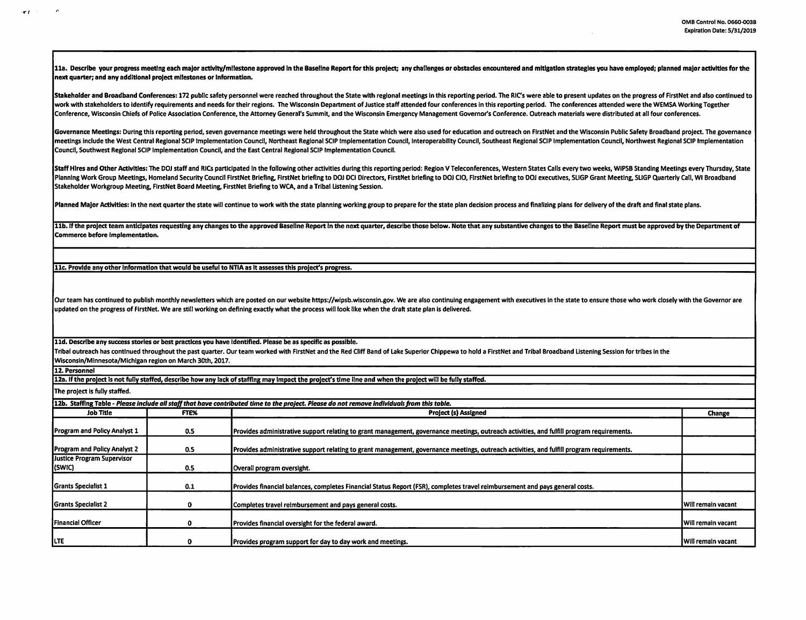11a. Describe your progress meeting each major activity/milestone approved in the Baseline Report for this project: any challenges or obstacles encountered and mitigation strategies you have employed: planned major activit next quarter; and any additional project milestones or Information.

Stakeholder and Broadband Conferences: 172 oublic safety personnel were reached throughout the State with regional meetings in this reporting period. The RIC's were able to present updates on the progress of FirstNet and a work with stakeholders to identify requirements and needs for their regions. The Wisconsin Department of Justice staff attended four conferences in this reporting period. The conferences attended were the WEMSA Working Tog Conference, Wisconsin Chiefs of Police Association Conference, the Attorney General's Summit, and the Wisconsin Emergency Management Governor's Conference. Outreach materials were distributed at all four conferences.

Governance Meetings: During this reporting period, seven governance meetings were held throughout the State which were also used for education and outreach on FirstNet and the Wisconsin Public Safety Broadband project. The meetings include the West Central Regional SCIP Implementation Council, Northeast Regional SCIP Implementation Council, Interoperability Council, Southeast Regional SCIP Implementation Council, Northwest Regional SCIP Impl Counc!I, Southwest Regional SCIP Implementation Council, and the East Central Regional SCIP Implementation Council.

Staff Hires and Other Activities: The DOJ staff and RICs participated in the following other activities during this reporting period: Region V Teleconferences, Western States Calls every two weeks, WiPSB Standing Meetings Planning Work Group Meetings, Homeland Security Council FirstNet Briefing, FirstNet briefing to DOJ DCI Directors, FirstNet briefing to DOJ CIO, FirstNet briefing to DOJ CO, FirstNet briefing to DOJ CO, FirstNet briefing t Stakeholder Workgroup Meeting, FirstNet Board Meeting, FirstNet Briefing to WCA, and a Tribal Listening Session.

Planned Major Activities: In the next quarter the state will continue to work with the state planning working group to prepare for the state plan decision process and finalizing plans for delivery of the draft and final st

11b. If the project team anticipates requesting any changes to the approved Baseline Report in the next quarter, describe those below. Note that any substantive changes to the Baseline Report must be approved by the Depart Commerce before Implementation.

11c. Provide any other Information that would be useful to NTIA as It assesses this project's progress.

Our team has continued to publish monthly newsletters which are posted on our website https://wipsb.wisconsin.gov. We are also continuing engagement with executives in the state to ensure those who work closely with the Go updated on the progress of FirstNet. We are still working on defining exactly what the process will look like when the draft state plan is delivered.

lld. Describe any success stories or best practices you have Identified. Please be as specific as possible.

Tribal outreach has continued throughout the past quarter. Our team worked with FirstNet and the Red Cliff Band of Lake Superior Chippewa to hold a FirstNet and Tribal Broadband Listening Session for tribes in the Wisconsin/Minnesota/Michigan region on March 30th, 2017.

12. Personnel

 $\sim$  $\mathbf{r}$  and  $\mathbf{r}$  and  $\mathbf{r}$ 

12a. If the project Is not fully staffed, describe how any lack of staffing may Impact the project's time line and when the project will be fully staffed.

The project is fully staffed.

| [12b. Staffing Table - Please include all staff that have contributed time to the project. Please do not remove individuals from this table. |      |                                                                                                                                           |                           |  |  |  |
|----------------------------------------------------------------------------------------------------------------------------------------------|------|-------------------------------------------------------------------------------------------------------------------------------------------|---------------------------|--|--|--|
| Job Title                                                                                                                                    | FTE% | <b>Project (s) Assigned</b>                                                                                                               |                           |  |  |  |
| <b>Program and Policy Analyst 1</b>                                                                                                          | 0.5  | Provides administrative support relating to grant management, governance meetings, outreach activities, and fulfill program requirements. |                           |  |  |  |
| <b>Program and Policy Analyst 2</b>                                                                                                          | 0.5  | Provides administrative support relating to grant management, governance meetings, outreach activities, and fulfill program requirements. |                           |  |  |  |
| Justice Program Supervisor<br>(SWIC)                                                                                                         | 0.5  | Overall program oversight.                                                                                                                |                           |  |  |  |
| <b>Grants Specialist 1</b>                                                                                                                   | 0.1  | Provides financial balances, completes Financial Status Report (FSR), completes travel reimbursement and pays general costs.              |                           |  |  |  |
| <b>Grants Specialist 2</b>                                                                                                                   |      | Completes travel reimbursement and pays general costs.                                                                                    | <b>Will remain vacant</b> |  |  |  |
| Financial Officer                                                                                                                            |      | Provides financial oversight for the federal award.                                                                                       | <b>Will remain vacant</b> |  |  |  |
| <b>ILTE</b>                                                                                                                                  |      | Provides program support for day to day work and meetings.                                                                                | <b>Will remain vacant</b> |  |  |  |